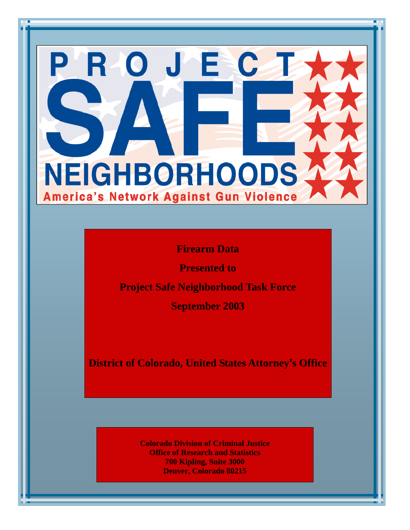# ROJEC NEIGHBORHOODS America's Network Against Gun Violence

**Firearm Data** 

**Presented to** 

**Project Safe Neighborhood Task Force** 

**September 2003** 

**District of Colorado, United States Attorney's Office** 

**Colorado Division of Criminal Justice Office of Research and Statistics 700 Kipling, Suite 3000 Denver, Colorado 80215**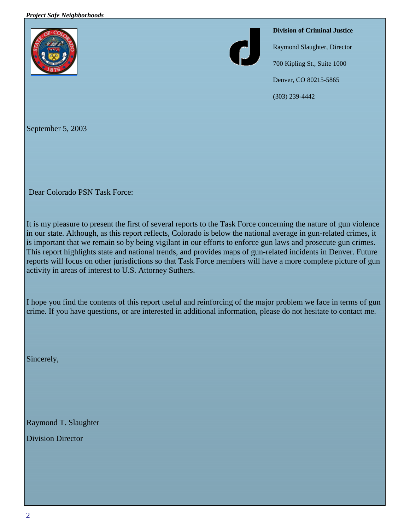#### *Project Safe Neighborhoods*





**Division of Criminal Justice**

Raymond Slaughter, Director

700 Kipling St., Suite 1000

Denver, CO 80215-5865

(303) 239-4442

September 5, 2003

Dear Colorado PSN Task Force:

It is my pleasure to present the first of several reports to the Task Force concerning the nature of gun violence in our state. Although, as this report reflects, Colorado is below the national average in gun-related crimes, it is important that we remain so by being vigilant in our efforts to enforce gun laws and prosecute gun crimes. This report highlights state and national trends, and provides maps of gun-related incidents in Denver. Future reports will focus on other jurisdictions so that Task Force members will have a more complete picture of gun activity in areas of interest to U.S. Attorney Suthers.

I hope you find the contents of this report useful and reinforcing of the major problem we face in terms of gun crime. If you have questions, or are interested in additional information, please do not hesitate to contact me.

Sincerely,

Raymond T. Slaughter

Division Director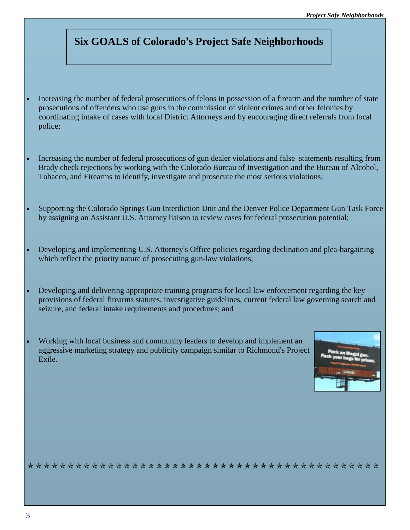# **Six GOALS of Colorado's Project Safe Neighborhoods**

- Increasing the number of federal prosecutions of felons in possession of a firearm and the number of state prosecutions of offenders who use guns in the commission of violent crimes and other felonies by coordinating intake of cases with local District Attorneys and by encouraging direct referrals from local police;
- Increasing the number of federal prosecutions of gun dealer violations and false statements resulting from Brady check rejections by working with the Colorado Bureau of Investigation and the Bureau of Alcohol, Tobacco, and Firearms to identify, investigate and prosecute the most serious violations;
- Supporting the Colorado Springs Gun Interdiction Unit and the Denver Police Department Gun Task Force by assigning an Assistant U.S. Attorney liaison to review cases for federal prosecution potential;
- Developing and implementing U.S. Attorney's Office policies regarding declination and plea-bargaining which reflect the priority nature of prosecuting gun-law violations;
- Developing and delivering appropriate training programs for local law enforcement regarding the key provisions of federal firearms statutes, investigative guidelines, current federal law governing search and seizure, and federal intake requirements and procedures; and
- Working with local business and community leaders to develop and implement an aggressive marketing strategy and publicity campaign similar to Richmond's Project Exile.



zzzzzzzzzzzzzzzzzzzzzzzzzzzzzzzzzzzzzzzzzzzz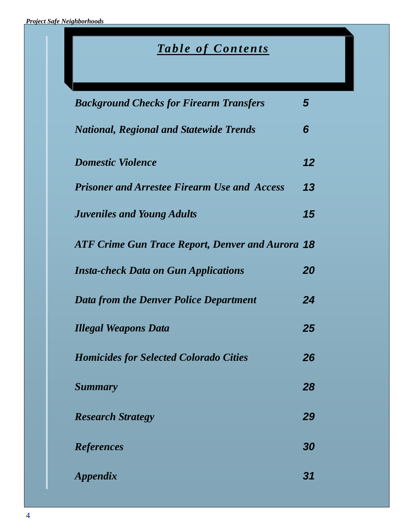# *Table of Contents*

| <b>Background Checks for Firearm Transfers</b>          | 5  |
|---------------------------------------------------------|----|
| <b>National, Regional and Statewide Trends</b>          | 6  |
| <b>Domestic Violence</b>                                | 12 |
| <b>Prisoner and Arrestee Firearm Use and Access</b>     | 13 |
| <b>Juveniles and Young Adults</b>                       | 15 |
| <b>ATF Crime Gun Trace Report, Denver and Aurora 18</b> |    |
| <b>Insta-check Data on Gun Applications</b>             | 20 |
| <b>Data from the Denver Police Department</b>           | 24 |
| <b>Illegal Weapons Data</b>                             | 25 |
| <b>Homicides for Selected Colorado Cities</b>           | 26 |
| <b>Summary</b>                                          | 28 |
| <b>Research Strategy</b>                                | 29 |
| <b>References</b>                                       | 30 |
| <b>Appendix</b>                                         | 31 |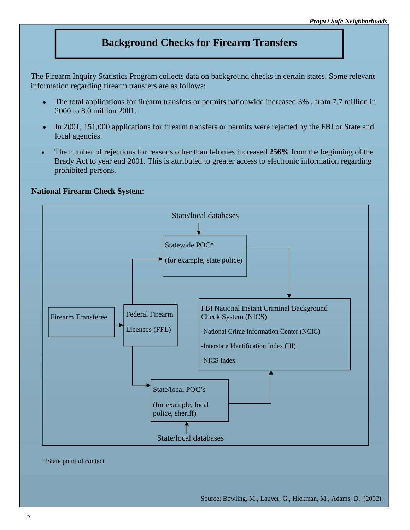## **Background Checks for Firearm Transfers**

The Firearm Inquiry Statistics Program collects data on background checks in certain states. Some relevant information regarding firearm transfers are as follows:

- The total applications for firearm transfers or permits nationwide increased 3% , from 7.7 million in 2000 to 8.0 million 2001.
- In 2001, 151,000 applications for firearm transfers or permits were rejected by the FBI or State and local agencies.
- The number of rejections for reasons other than felonies increased **256%** from the beginning of the Brady Act to year end 2001. This is attributed to greater access to electronic information regarding prohibited persons.

#### **National Firearm Check System:**



\*State point of contact

Source: Bowling, M., Lauver, G., Hickman, M., Adams, D. (2002).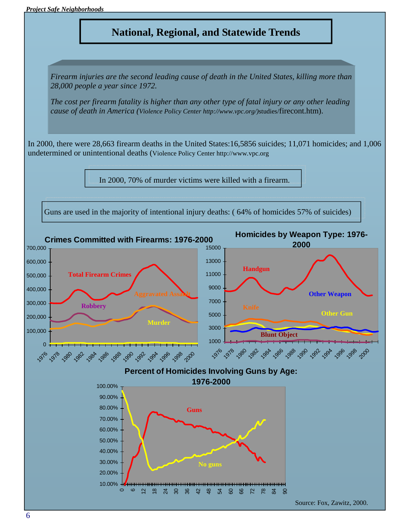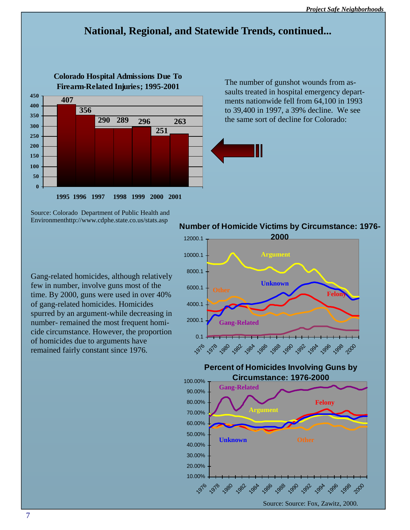# **National, Regional, and Statewide Trends, continued...**



The number of gunshot wounds from assaults treated in hospital emergency departments nationwide fell from 64,100 in 1993 to 39,400 in 1997, a 39% decline. We see the same sort of decline for Colorado:



Source: Colorado Department of Public Health and Environmenthttp://www.cdphe.state.co.us/stats.asp

Gang-related homicides, although relatively few in number, involve guns most of the time. By 2000, guns were used in over 40% of gang-related homicides. Homicides spurred by an argument-while decreasing in number- remained the most frequent homicide circumstance. However, the proportion of homicides due to arguments have remained fairly constant since 1976.

## **Number of Homicide Victims by Circumstance: 1976-**

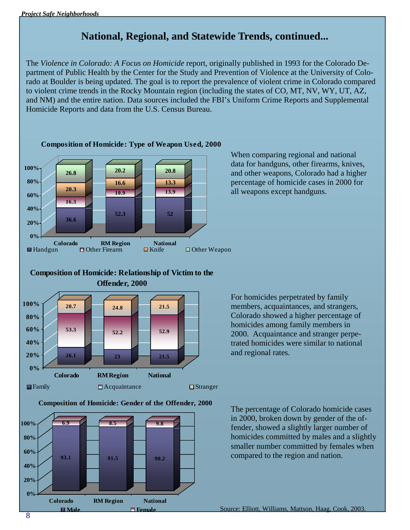# **National, Regional, and Statewide Trends, continued...**

The *Violence in Colorado: A Focus on Homicide* report, originally published in 1993 for the Colorado Department of Public Health by the Center for the Study and Prevention of Violence at the University of Colorado at Boulder is being updated. The goal is to report the prevalence of violent crime in Colorado compared to violent crime trends in the Rocky Mountain region (including the states of CO, MT, NV, WY, UT, AZ, and NM) and the entire nation. Data sources included the FBI's Uniform Crime Reports and Supplemental Homicide Reports and data from the U.S. Census Bureau.



**Composition of Homicide: Type of Weapon Used, 2000**

When comparing regional and national data for handguns, other firearms, knives, and other weapons, Colorado had a higher percentage of homicide cases in 2000 for all weapons except handguns.



**Colorado RM Region National**

For homicides perpetrated by family members, acquaintances, and strangers, Colorado showed a higher percentage of homicides among family members in 2000. Acquaintance and stranger perpetrated homicides were similar to national and regional rates.

**Composition of Homicide: Gender of the Offender, 2000**

 $\Box$  Family  $\Box$  Acquaintance  $\Box$  Stranger



The percentage of Colorado homicide cases in 2000, broken down by gender of the offender, showed a slightly larger number of homicides committed by males and a slightly smaller number committed by females when compared to the region and nation.

Source: Elliott, Williams, Mattson, Haag, Cook, 200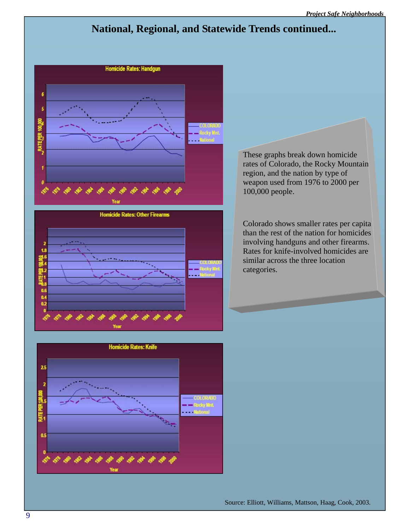# **National, Regional, and Statewide Trends continued...**



These graphs break down homicide rates of Colorado, the Rocky Mountain region, and the nation by type of weapon used from 1976 to 2000 per 100,000 people.

Colorado shows smaller rates per capita than the rest of the nation for homicides involving handguns and other firearms. Rates for knife-involved homicides are similar across the three location categories.



Source: Elliott, Williams, Mattson, Haag, Cook, 2003.

0.6 0.4  $0.2$ 

 $\mathscr{E}$ 

 $a^{\circ}$  d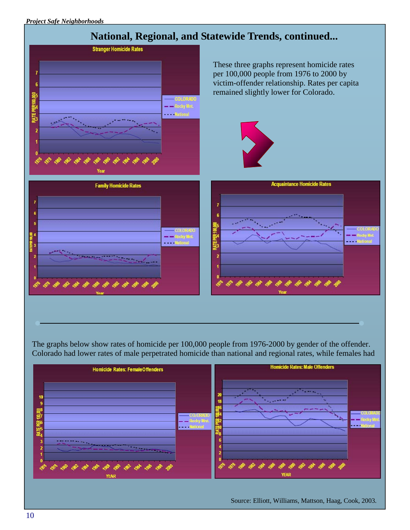

The graphs below show rates of homicide per 100,000 people from 1976-2000 by gender of the offender. Colorado had lower rates of male perpetrated homicide than national and regional rates, while females had



Source: Elliott, Williams, Mattson, Haag, Cook, 2003.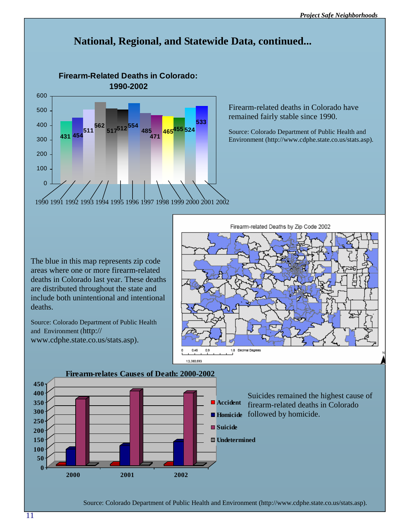

Firearm-related deaths in Colorado have remained fairly stable since 1990.

Source: Colorado Department of Public Health and Environment (http://www.cdphe.state.co.us/stats.asp).

The blue in this map represents zip code areas where one or more firearm-related deaths in Colorado last year. These deaths are distributed throughout the state and include both unintentional and intentional deaths.

Source: Colorado Department of Public Health and Environment (http:// www.cdphe.state.co.us/stats.asp).





Suicides remained the highest cause of firearm-related deaths in Colorado

Source: Colorado Department of Public Health and Environment (http://www.cdphe.state.co.us/stats.asp).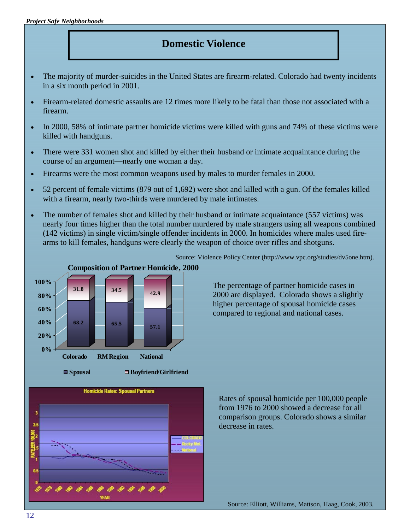# **Domestic Violence**

- The majority of murder-suicides in the United States are firearm-related. Colorado had twenty incidents in a six month period in 2001.
- Firearm-related domestic assaults are 12 times more likely to be fatal than those not associated with a firearm.
- In 2000, 58% of intimate partner homicide victims were killed with guns and 74% of these victims were killed with handguns.
- There were 331 women shot and killed by either their husband or intimate acquaintance during the course of an argument—nearly one woman a day.
- Firearms were the most common weapons used by males to murder females in 2000.
- 52 percent of female victims (879 out of 1,692) were shot and killed with a gun. Of the females killed with a firearm, nearly two-thirds were murdered by male intimates.
- The number of females shot and killed by their husband or intimate acquaintance (557 victims) was nearly four times higher than the total number murdered by male strangers using all weapons combined (142 victims) in single victim/single offender incidents in 2000. In homicides where males used firearms to kill females, handguns were clearly the weapon of choice over rifles and shotguns.



Source: Violence Policy Center (http://www.vpc.org/studies/dv5one.htm).

The percentage of partner homicide cases in 2000 are displayed. Colorado shows a slightly higher percentage of spousal homicide cases compared to regional and national cases.



**Spousal Boyfriend/Girlfriend**



Rates of spousal homicide per 100,000 people from 1976 to 2000 showed a decrease for all comparison groups. Colorado shows a similar decrease in rates.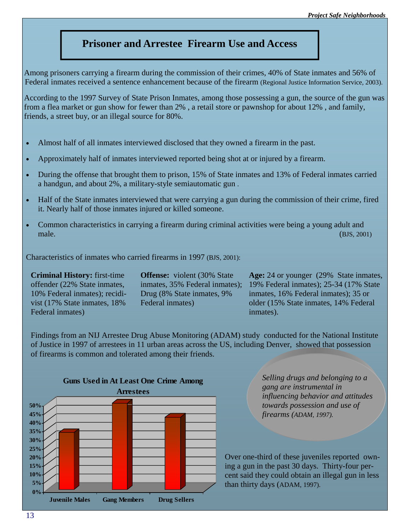## **Prisoner and Arrestee Firearm Use and Access**

Among prisoners carrying a firearm during the commission of their crimes, 40% of State inmates and 56% of Federal inmates received a sentence enhancement because of the firearm (Regional Justice Information Service, 2003).

According to the 1997 Survey of State Prison Inmates, among those possessing a gun, the source of the gun was from a flea market or gun show for fewer than 2% , a retail store or pawnshop for about 12% , and family, friends, a street buy, or an illegal source for 80%.

- Almost half of all inmates interviewed disclosed that they owned a firearm in the past.
- Approximately half of inmates interviewed reported being shot at or injured by a firearm.
- During the offense that brought them to prison, 15% of State inmates and 13% of Federal inmates carried a handgun, and about 2%, a military-style semiautomatic gun .
- Half of the State inmates interviewed that were carrying a gun during the commission of their crime, fired it. Nearly half of those inmates injured or killed someone.
- Common characteristics in carrying a firearm during criminal activities were being a young adult and male. (BJS, 2001)

Characteristics of inmates who carried firearms in 1997 (BJS, 2001):

**Criminal History:** first-time offender (22% State inmates, 10% Federal inmates); recidivist (17% State inmates, 18% Federal inmates)

**Offense:** violent (30% State) inmates, 35% Federal inmates); Drug (8% State inmates, 9% Federal inmates)

Age: 24 or younger (29% State inmates, 19% Federal inmates); 25-34 (17% State inmates, 16% Federal inmates); 35 or older (15% State inmates, 14% Federal inmates).

Findings from an NIJ Arrestee Drug Abuse Monitoring (ADAM) study conducted for the National Institute of Justice in 1997 of arrestees in 11 urban areas across the US, including Denver, showed that possession of firearms is common and tolerated among their friends.



*Selling drugs and belonging to a gang are instrumental in influencing behavior and attitudes towards possession and use of firearms (ADAM, 1997).*

Over one-third of these juveniles reported owning a gun in the past 30 days. Thirty-four percent said they could obtain an illegal gun in less than thirty days (ADAM, 1997).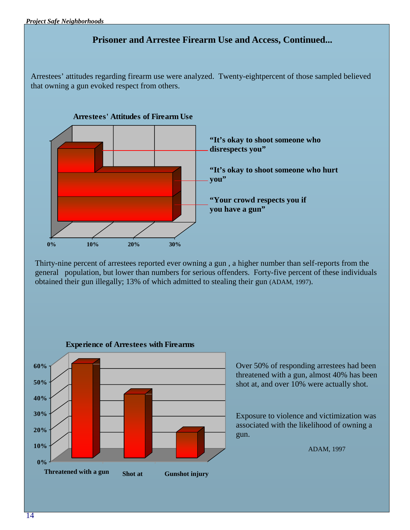## **Prisoner and Arrestee Firearm Use and Access, Continued...**

Arrestees' attitudes regarding firearm use were analyzed. Twenty-eightpercent of those sampled believed that owning a gun evoked respect from others.



Thirty-nine percent of arrestees reported ever owning a gun , a higher number than self-reports from the general population, but lower than numbers for serious offenders. Forty-five percent of these individuals obtained their gun illegally; 13% of which admitted to stealing their gun (ADAM, 1997).



Over 50% of responding arrestees had been threatened with a gun, almost 40% has been shot at, and over 10% were actually shot.

Exposure to violence and victimization was associated with the likelihood of owning a gun.

ADAM, 1997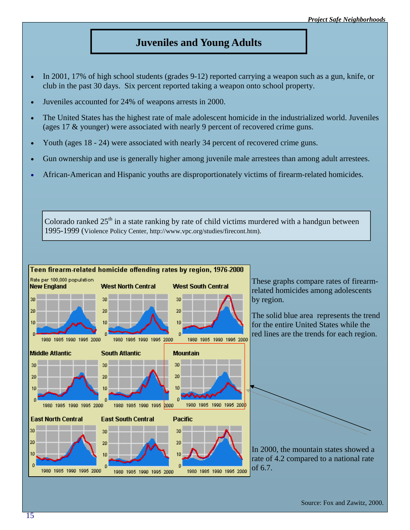## **Juveniles and Young Adults**

- In 2001, 17% of high school students (grades 9-12) reported carrying a weapon such as a gun, knife, or club in the past 30 days. Six percent reported taking a weapon onto school property.
- Juveniles accounted for 24% of weapons arrests in 2000.
- The United States has the highest rate of male adolescent homicide in the industrialized world. Juveniles (ages 17 & younger) were associated with nearly 9 percent of recovered crime guns.
- Youth (ages 18 24) were associated with nearly 34 percent of recovered crime guns.
- Gun ownership and use is generally higher among juvenile male arrestees than among adult arrestees.
- African-American and Hispanic youths are disproportionately victims of firearm-related homicides.

Colorado ranked  $25<sup>th</sup>$  in a state ranking by rate of child victims murdered with a handgun between 1995-1999 (Violence Policy Center, http://www.vpc.org/studies/firecont.htm).

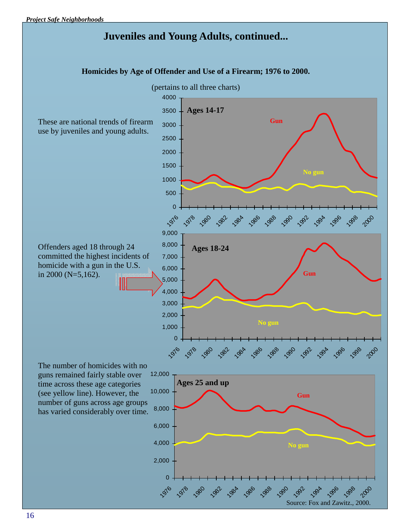# **Juveniles and Young Adults, continued...**

**Homicides by Age of Offender and Use of a Firearm; 1976 to 2000.** 

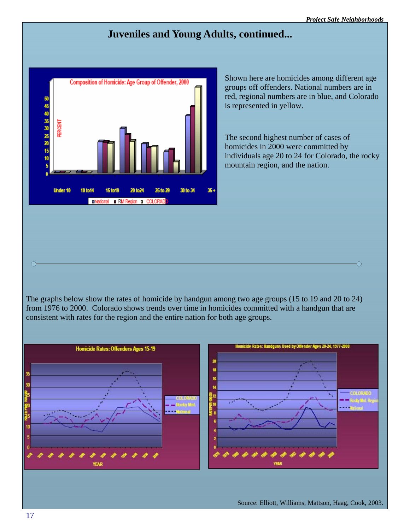∩

# **Juveniles and Young Adults, continued...**



Shown here are homicides among different age groups off offenders. National numbers are in red, regional numbers are in blue, and Colorado is represented in yellow.

The second highest number of cases of homicides in 2000 were committed by individuals age 20 to 24 for Colorado, the rocky mountain region, and the nation.

The graphs below show the rates of homicide by handgun among two age groups (15 to 19 and 20 to 24) from 1976 to 2000. Colorado shows trends over time in homicides committed with a handgun that are consistent with rates for the region and the entire nation for both age groups.



 $\overline{O}$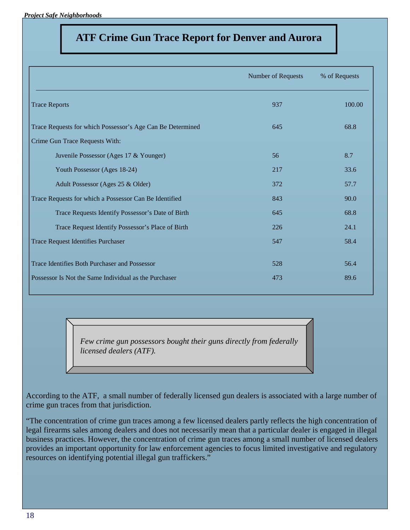*Project Safe Neighborhoods* 

# **ATF Crime Gun Trace Report for Denver and Aurora**

|                                                            | Number of Requests | % of Requests |
|------------------------------------------------------------|--------------------|---------------|
| <b>Trace Reports</b>                                       | 937                | 100.00        |
| Trace Requests for which Possessor's Age Can Be Determined | 645                | 68.8          |
| Crime Gun Trace Requests With:                             |                    |               |
| Juvenile Possessor (Ages 17 & Younger)                     | 56                 | 8.7           |
| Youth Possessor (Ages 18-24)                               | 217                | 33.6          |
| Adult Possessor (Ages 25 & Older)                          | 372                | 57.7          |
| Trace Requests for which a Possessor Can Be Identified     | 843                | 90.0          |
| Trace Requests Identify Possessor's Date of Birth          | 645                | 68.8          |
| Trace Request Identify Possessor's Place of Birth          | 226                | 24.1          |
| <b>Trace Request Identifies Purchaser</b>                  | 547                | 58.4          |
| Trace Identifies Both Purchaser and Possessor              | 528                | 56.4          |
| Possessor Is Not the Same Individual as the Purchaser      | 473                | 89.6          |

*Few crime gun possessors bought their guns directly from federally licensed dealers (ATF).* 

According to the ATF, a small number of federally licensed gun dealers is associated with a large number of crime gun traces from that jurisdiction.

"The concentration of crime gun traces among a few licensed dealers partly reflects the high concentration of legal firearms sales among dealers and does not necessarily mean that a particular dealer is engaged in illegal business practices. However, the concentration of crime gun traces among a small number of licensed dealers provides an important opportunity for law enforcement agencies to focus limited investigative and regulatory resources on identifying potential illegal gun traffickers."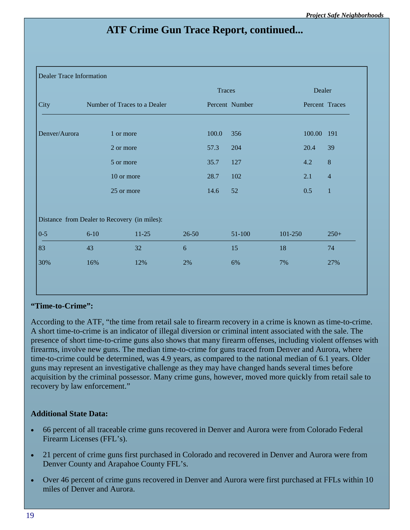# **ATF Crime Gun Trace Report, continued...**

#### Dealer Trace Information

|               |                              |                                              |           | Traces         |        |         | Dealer         |                  |
|---------------|------------------------------|----------------------------------------------|-----------|----------------|--------|---------|----------------|------------------|
| City          | Number of Traces to a Dealer |                                              |           | Percent Number |        |         | Percent Traces |                  |
| Denver/Aurora |                              | 1 or more                                    |           | 100.0          | 356    |         | 100.00 191     |                  |
|               |                              | 2 or more                                    |           | 57.3           | 204    |         | 20.4           | 39               |
|               |                              | 5 or more                                    |           | 35.7           | 127    |         | 4.2            | $\boldsymbol{8}$ |
|               |                              | 10 or more                                   |           | 28.7           | 102    |         | 2.1            | $\overline{4}$   |
|               |                              | 25 or more                                   |           | 14.6           | 52     |         | 0.5            | $\mathbf{1}$     |
|               |                              |                                              |           |                |        |         |                |                  |
|               |                              | Distance from Dealer to Recovery (in miles): |           |                |        |         |                |                  |
| $0 - 5$       | $6 - 10$                     | $11-25$                                      | $26 - 50$ |                | 51-100 | 101-250 |                | $250+$           |
| 83            | 43                           | 32                                           | 6         |                | 15     | 18      |                | 74               |
| 30%           | 16%                          | 12%                                          | 2%        |                | 6%     | 7%      |                | 27%              |

### **"Time-to-Crime":**

According to the ATF, "the time from retail sale to firearm recovery in a crime is known as time-to-crime. A short time-to-crime is an indicator of illegal diversion or criminal intent associated with the sale. The presence of short time-to-crime guns also shows that many firearm offenses, including violent offenses with firearms, involve new guns. The median time-to-crime for guns traced from Denver and Aurora, where time-to-crime could be determined, was 4.9 years, as compared to the national median of 6.1 years. Older guns may represent an investigative challenge as they may have changed hands several times before acquisition by the criminal possessor. Many crime guns, however, moved more quickly from retail sale to recovery by law enforcement."

#### **Additional State Data:**

- 66 percent of all traceable crime guns recovered in Denver and Aurora were from Colorado Federal Firearm Licenses (FFL's).
- 21 percent of crime guns first purchased in Colorado and recovered in Denver and Aurora were from Denver County and Arapahoe County FFL's.
- Over 46 percent of crime guns recovered in Denver and Aurora were first purchased at FFLs within 10 miles of Denver and Aurora.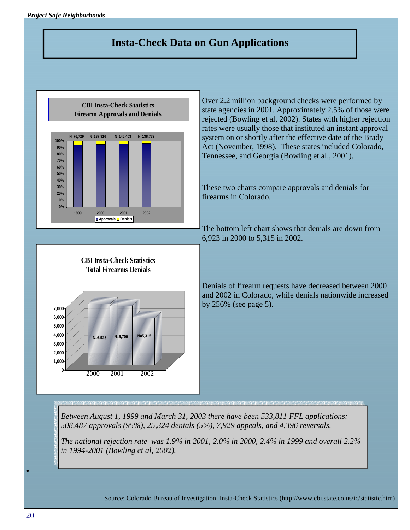# **Insta-Check Data on Gun Applications**



Source: Colorado Bureau of Investigation, Insta-Check Statistics (http://www.cbi.state.co.us/ic/statistic.htm).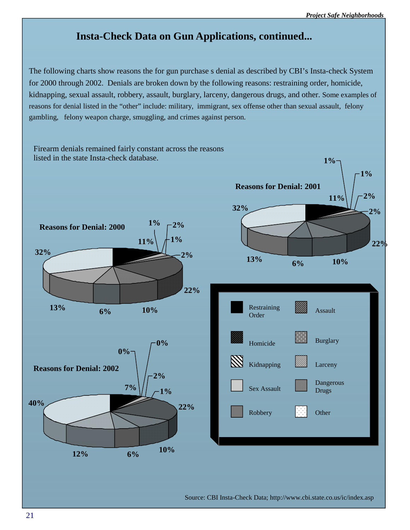# **Insta-Check Data on Gun Applications, continued...**

The following charts show reasons the for gun purchase s denial as described by CBI's Insta-check System for 2000 through 2002. Denials are broken down by the following reasons: restraining order, homicide, kidnapping, sexual assault, robbery, assault, burglary, larceny, dangerous drugs, and other. Some examples of reasons for denial listed in the "other" include: military, immigrant, sex offense other than sexual assault, felony gambling, felony weapon charge, smuggling, and crimes against person.



Source: CBI Insta-Check Data; http://www.cbi.state.co.us/ic/index.asp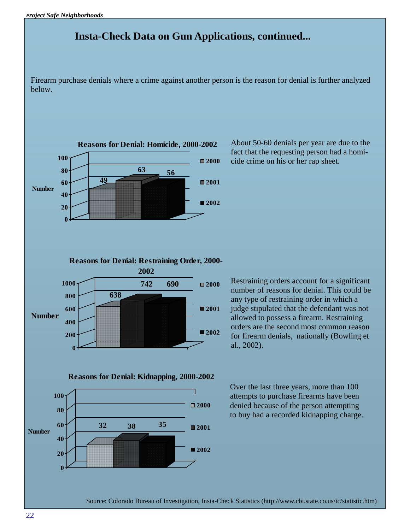# **Insta-Check Data on Gun Applications, continued...**

Firearm purchase denials where a crime against another person is the reason for denial is further analyzed below.



About 50-60 denials per year are due to the fact that the requesting person had a homicide crime on his or her rap sheet.

Restraining orders account for a significant number of reasons for denial. This could be any type of restraining order in which a judge stipulated that the defendant was not allowed to possess a firearm. Restraining orders are the second most common reason for firearm denials, nationally (Bowling et al., 2002).

Over the last three years, more than 100 attempts to purchase firearms have been denied because of the person attempting to buy had a recorded kidnapping charge.

Source: Colorado Bureau of Investigation, Insta-Check Statistics (http://www.cbi.state.co.us/ic/statistic.htm)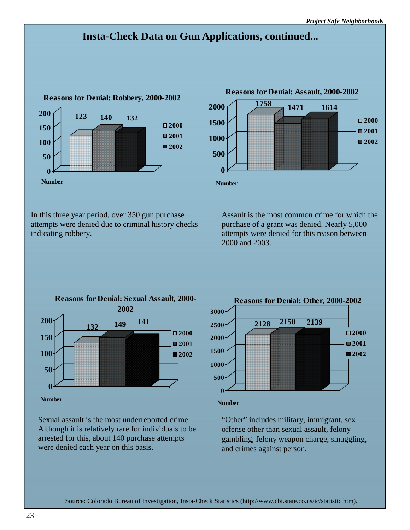# **Insta-Check Data on Gun Applications, continued...**



**<sup>1758</sup> 1471 1614 0 500 1000 1500 2000 Number Reasons for Denial: Assault, 2000-2002 2000 2001 2002**

In this three year period, over 350 gun purchase attempts were denied due to criminal history checks indicating robbery.

Assault is the most common crime for which the purchase of a grant was denied. Nearly 5,000 attempts were denied for this reason between 2000 and 2003.



Sexual assault is the most underreported crime. Although it is relatively rare for individuals to be arrested for this, about 140 purchase attempts were denied each year on this basis.



"Other" includes military, immigrant, sex offense other than sexual assault, felony gambling, felony weapon charge, smuggling, and crimes against person.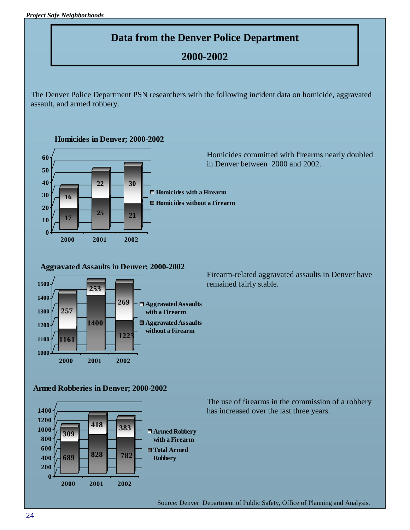# **Data from the Denver Police Department**

# **2000-2002**

The Denver Police Department PSN researchers with the following incident data on homicide, aggravated assault, and armed robbery.

**Homicides in Denver; 2000-2002**



**Aggravated Assaults in Denver; 2000-2002**



Firearm-related aggravated assaults in Denver have remained fairly stable.

#### **Armed Robberies in Denver; 2000-2002**



The use of firearms in the commission of a robbery has increased over the last three years.

Source: Denver Department of Public Safety, Office of Planning and Analysis.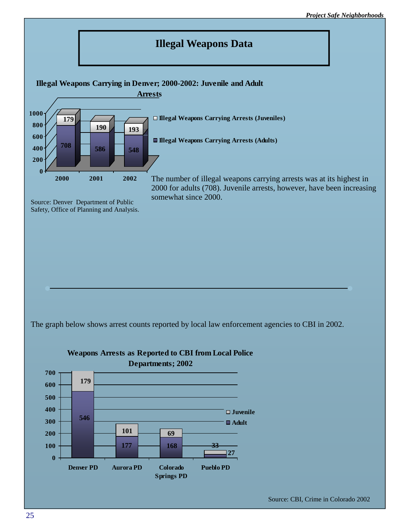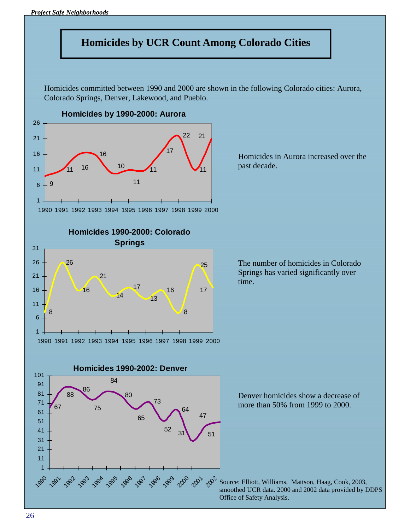

Homicides committed between 1990 and 2000 are shown in the following Colorado cities: Aurora, Colorado Springs, Denver, Lakewood, and Pueblo.



**Homicides 1990-2000: Colorado Springs**

Homicides in Aurora increased over the past decade.







Denver homicides show a decrease of more than 50% from 1999 to 2000.

 $200^{\circ}$  Source: Elliott, Williams, Mattson, Haag, Cook, 2003, smoothed UCR data. 2000 and 2002 data provided by DDPS Office of Safety Analysis.

 

1990 1991 1992 1993 1994 1995 1996 1997 1998 1999 2000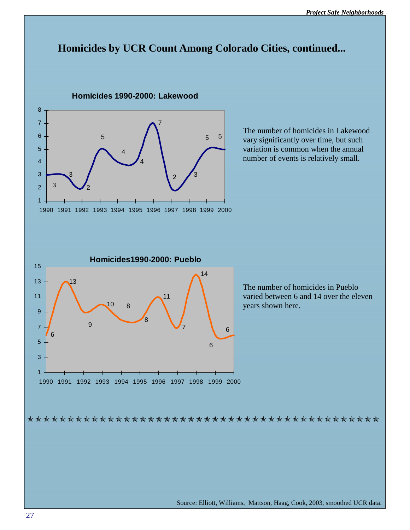# **Homicides by UCR Count Among Colorado Cities, continued...**



Source: Elliott, Williams, Mattson, Haag, Cook, 2003, smoothed UCR data.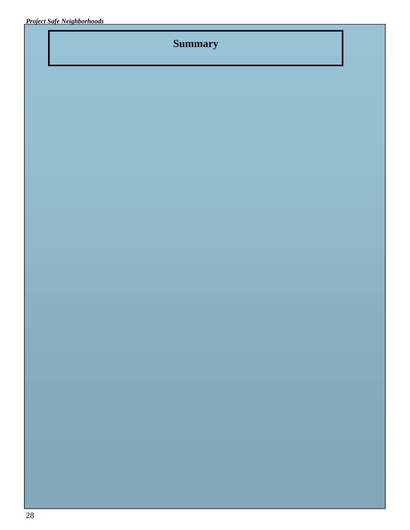# **Summary**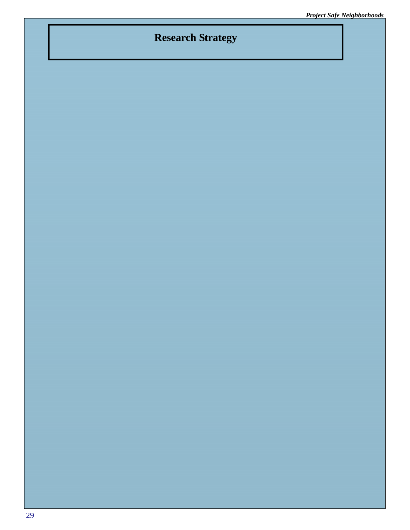# **Research Strategy**